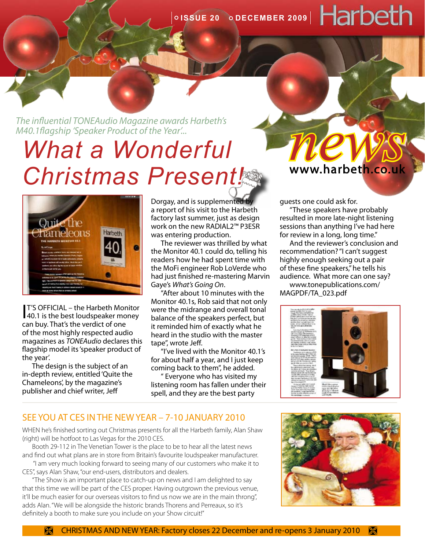# *What a Wonderful Christmas Present! The influential TONEAudio Magazine awards Harbeth's*<br> **MALE A Wonderful**<br> **Chariotipe are Rise are in the www.harbeth.co.uk**



I 40.1 is the best loudspeaker money T'S OFFICIAL – the Harbeth Monitor can buy. That's the verdict of one of the most highly respected audio magazines as *TONEAudio* declares this flagship model its 'speaker product of the year'.

The design is the subject of an in-depth review, entitled 'Quite the Chameleons', by the magazine's publisher and chief writer, Jeff

Dorgay, and is supplemented by a report of his visit to the Harbeth factory last summer, just as design work on the new RADIAL2™ P3ESR was entering production.

The reviewer was thrilled by what the Monitor 40.1 could do, telling his readers how he had spent time with the MoFi engineer Rob LoVerde who had just finished re-mastering Marvin Gaye's *What's Going On*.

"After about 10 minutes with the Monitor 40.1s, Rob said that not only were the midrange and overall tonal balance of the speakers perfect, but it reminded him of exactly what he heard in the studio with the master tape", wrote Jeff.

"I've lived with the Monitor 40.1's for about half a year, and I just keep coming back to them", he added.

" Everyone who has visited my listening room has fallen under their spell, and they are the best party

www.harbeth.co.uk

guests one could ask for.

"These speakers have probably resulted in more late-night listening sessions than anything I've had here for review in a long, long time."

And the reviewer's conclusion and recommendation? "I can't suggest highly enough seeking out a pair of these fine speakers," he tells his audience. What more can one say? [www.tonepublications.com/](www.tonepublications.com/MAGPDF/TA_023.pdf) [MAGPDF/TA\\_023.pdf](www.tonepublications.com/MAGPDF/TA_023.pdf)



#### SEE YOU AT CES IN THE NEW YEAR – 7-10 JANUARY 2010

WHEN he's finished sorting out Christmas presents for all the Harbeth family, Alan Shaw (right) will be hotfoot to Las Vegas for the 2010 CES.

Booth 29-112 in The Venetian Tower is the place to be to hear all the latest news and find out what plans are in store from Britain's favourite loudspeaker manufacturer.

 "I am very much looking forward to seeing many of our customers who make it to CES", says Alan Shaw, "our end-users, distributors and dealers.

"The Show is an important place to catch-up on news and I am delighted to say that this time we will be part of the CES proper. Having outgrown the previous venue, it'll be much easier for our overseas visitors to find us now we are in the main throng", adds Alan. "We will be alongside the historic brands Thorens and Perreaux, so it's definitely a booth to make sure you include on your Show circuit!"